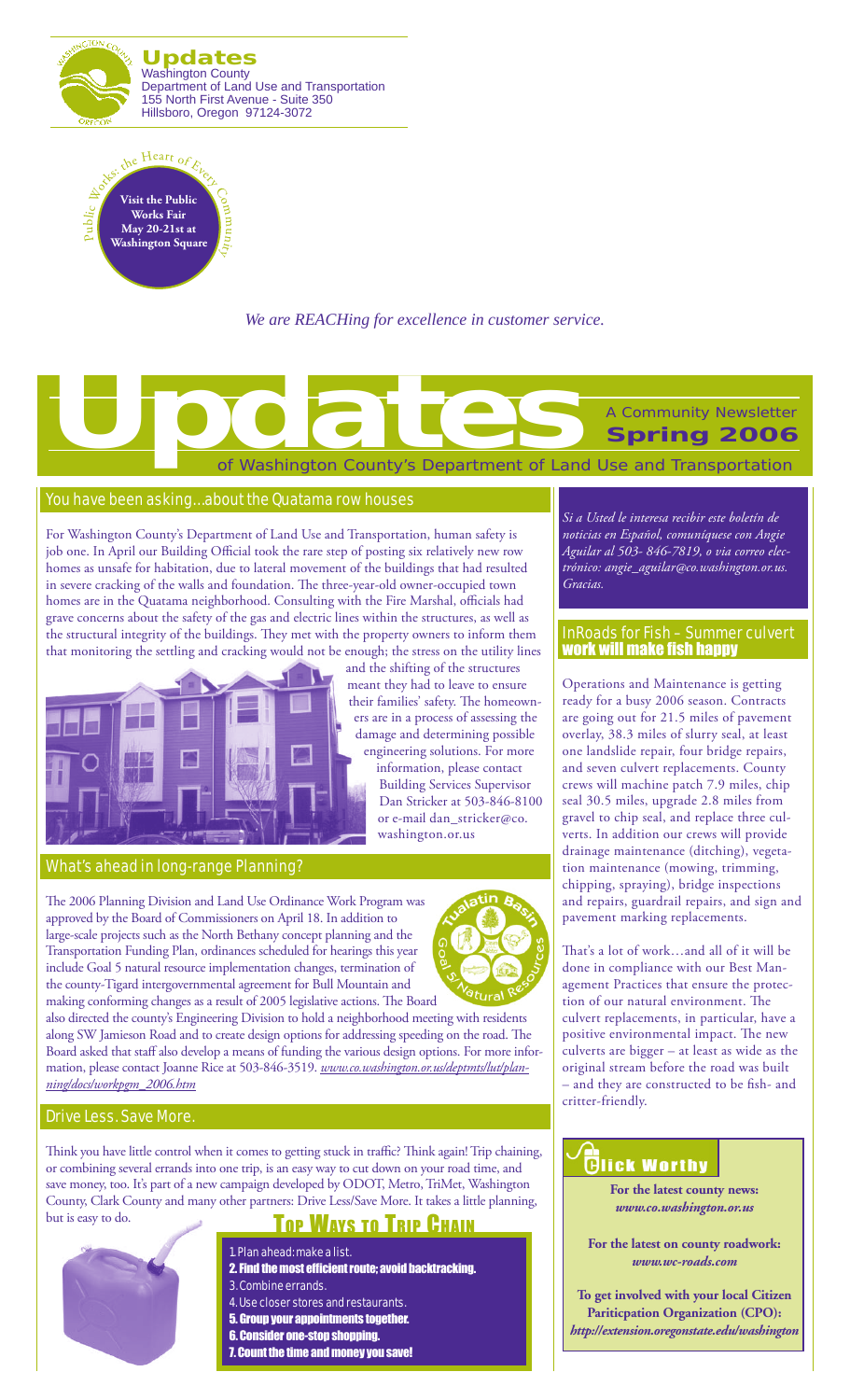



*We are REACHing for excellence in customer service.*

# of Washington County's Department of Land Use and Transportation A Community Newsletter **Spring 2006 Updates**<br>
The Control of Washington County's Department of Land

### You have been asking… about the Quatama row houses

For Washington County's Department of Land Use and Transportation, human safety is job one. In April our Building Official took the rare step of posting six relatively new row homes as unsafe for habitation, due to lateral movement of the buildings that had resulted in severe cracking of the walls and foundation. The three-year-old owner-occupied town homes are in the Quatama neighborhood. Consulting with the Fire Marshal, officials had grave concerns about the safety of the gas and electric lines within the structures, as well as the structural integrity of the buildings. They met with the property owners to inform them that monitoring the settling and cracking would not be enough; the stress on the utility lines



#### What's ahead in long-range Planning?

The 2006 Planning Division and Land Use Ordinance Work Program was approved by the Board of Commissioners on April 18. In addition to large-scale projects such as the North Bethany concept planning and the Transportation Funding Plan, ordinances scheduled for hearings this year include Goal 5 natural resource implementation changes, termination of the county-Tigard intergovernmental agreement for Bull Mountain and making conforming changes as a result of 2005 legislative actions. The Board



information, please contact Building Services Supervisor Dan Stricker at 503-846-8100 or e-mail dan\_stricker@co.

washington.or.us

also directed the county's Engineering Division to hold a neighborhood meeting with residents along SW Jamieson Road and to create design options for addressing speeding on the road. The Board asked that staff also develop a means of funding the various design options. For more information, please contact Joanne Rice at 503-846-3519. *www.co.washington.or.us/deptmts/lut/planning/docs/workpgm\_2006.htm*

### Drive Less. Save More.

Think you have little control when it comes to getting stuck in traffic? Think again! Trip chaining, or combining several errands into one trip, is an easy way to cut down on your road time, and save money, too. It's part of a new campaign developed by ODOT, Metro, TriMet, Washington County, Clark County and many other partners: Drive Less/Save More. It takes a little planning, but is easy to do.

## Top Ways To Trip Chain

- 1. Plan ahead: make a list. 2. Find the most efficient route; avoid backtracking.
- 3. Combine errands. 4. Use closer stores and restaurants.
- 
- 5. Group your appointments together. 6. Consider one-stop shopping.
- 7. Count the time and money you save!

*Si a Usted le interesa recibir este boletín de noticias en Español, comuníquese con Angie Aguilar al 503- 846-7819, o via correo electrónico: angie\_aguilar@co.washington.or.us. Gracias.*

### InRoads for Fish – Summer culvert work will make fish happy

Operations and Maintenance is getting ready for a busy 2006 season. Contracts are going out for 21.5 miles of pavement overlay, 38.3 miles of slurry seal, at least one landslide repair, four bridge repairs, and seven culvert replacements. County crews will machine patch 7.9 miles, chip seal 30.5 miles, upgrade 2.8 miles from gravel to chip seal, and replace three culverts. In addition our crews will provide drainage maintenance (ditching), vegetation maintenance (mowing, trimming, chipping, spraying), bridge inspections and repairs, guardrail repairs, and sign and pavement marking replacements.

That's a lot of work…and all of it will be done in compliance with our Best Management Practices that ensure the protection of our natural environment. The culvert replacements, in particular, have a positive environmental impact. The new culverts are bigger – at least as wide as the original stream before the road was built – and they are constructed to be fish- and critter-friendly.

## **Glick Worthy**

**For the latest county news:** *www.co.washington.or.us*

**For the latest on county roadwork:** *www.wc-roads.com*

**To get involved with your local Citizen Pariticpation Organization (CPO):** *http://extension.oregonstate.edu/washington*